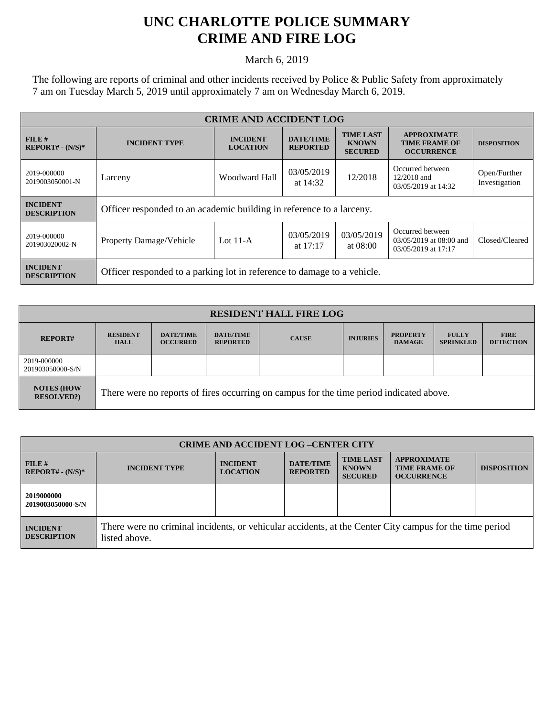## **UNC CHARLOTTE POLICE SUMMARY CRIME AND FIRE LOG**

March 6, 2019

The following are reports of criminal and other incidents received by Police & Public Safety from approximately 7 am on Tuesday March 5, 2019 until approximately 7 am on Wednesday March 6, 2019.

| <b>CRIME AND ACCIDENT LOG</b>         |                                                                         |                                                    |                                     |                                                    |                                                                    |                               |  |
|---------------------------------------|-------------------------------------------------------------------------|----------------------------------------------------|-------------------------------------|----------------------------------------------------|--------------------------------------------------------------------|-------------------------------|--|
| $FILE$ #<br>$REPORT# - (N/S)*$        | <b>INCIDENT TYPE</b>                                                    | <b>INCIDENT</b><br><b>LOCATION</b>                 | <b>DATE/TIME</b><br><b>REPORTED</b> | <b>TIME LAST</b><br><b>KNOWN</b><br><b>SECURED</b> | <b>APPROXIMATE</b><br><b>TIME FRAME OF</b><br><b>OCCURRENCE</b>    | <b>DISPOSITION</b>            |  |
| 2019-000000<br>2019003050001-N        | Larceny                                                                 | 03/05/2019<br>Woodward Hall<br>12/2018<br>at 14:32 |                                     |                                                    | Occurred between<br>12/2018 and<br>03/05/2019 at 14:32             | Open/Further<br>Investigation |  |
| <b>INCIDENT</b><br><b>DESCRIPTION</b> | Officer responded to an academic building in reference to a larceny.    |                                                    |                                     |                                                    |                                                                    |                               |  |
| 2019-000000<br>201903020002-N         | <b>Property Damage/Vehicle</b>                                          | Lot $11-A$                                         | 03/05/2019<br>at $17:17$            | 03/05/2019<br>at 08:00                             | Occurred between<br>03/05/2019 at 08:00 and<br>03/05/2019 at 17:17 | Closed/Cleared                |  |
| <b>INCIDENT</b><br><b>DESCRIPTION</b> | Officer responded to a parking lot in reference to damage to a vehicle. |                                                    |                                     |                                                    |                                                                    |                               |  |

| <b>RESIDENT HALL FIRE LOG</b>         |                                                                                         |                                     |                                     |              |                 |                                  |                                  |                                 |
|---------------------------------------|-----------------------------------------------------------------------------------------|-------------------------------------|-------------------------------------|--------------|-----------------|----------------------------------|----------------------------------|---------------------------------|
| <b>REPORT#</b>                        | <b>RESIDENT</b><br><b>HALL</b>                                                          | <b>DATE/TIME</b><br><b>OCCURRED</b> | <b>DATE/TIME</b><br><b>REPORTED</b> | <b>CAUSE</b> | <b>INJURIES</b> | <b>PROPERTY</b><br><b>DAMAGE</b> | <b>FULLY</b><br><b>SPRINKLED</b> | <b>FIRE</b><br><b>DETECTION</b> |
| 2019-000000<br>201903050000-S/N       |                                                                                         |                                     |                                     |              |                 |                                  |                                  |                                 |
| <b>NOTES (HOW</b><br><b>RESOLVED?</b> | There were no reports of fires occurring on campus for the time period indicated above. |                                     |                                     |              |                 |                                  |                                  |                                 |

| <b>CRIME AND ACCIDENT LOG-CENTER CITY</b> |                                                                                                                          |                                    |                                     |                                                    |                                                                 |                    |
|-------------------------------------------|--------------------------------------------------------------------------------------------------------------------------|------------------------------------|-------------------------------------|----------------------------------------------------|-----------------------------------------------------------------|--------------------|
| FILE H<br>$REPORT# - (N/S)*$              | <b>INCIDENT TYPE</b>                                                                                                     | <b>INCIDENT</b><br><b>LOCATION</b> | <b>DATE/TIME</b><br><b>REPORTED</b> | <b>TIME LAST</b><br><b>KNOWN</b><br><b>SECURED</b> | <b>APPROXIMATE</b><br><b>TIME FRAME OF</b><br><b>OCCURRENCE</b> | <b>DISPOSITION</b> |
| 2019000000<br>2019003050000-S/N           |                                                                                                                          |                                    |                                     |                                                    |                                                                 |                    |
| <b>INCIDENT</b><br><b>DESCRIPTION</b>     | There were no criminal incidents, or vehicular accidents, at the Center City campus for the time period<br>listed above. |                                    |                                     |                                                    |                                                                 |                    |